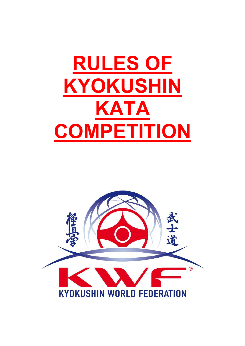# **RULES OF KYOKUSHIN KATA COMPETITION**

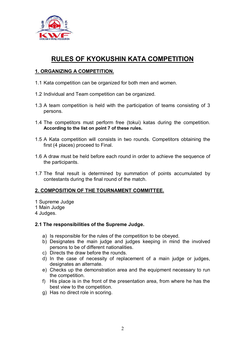

# **RULES OF KYOKUSHIN KATA COMPETITION**

# **1. ORGANIZING A COMPETITION.**

- 1.1 Kata competition can be organized for both men and women.
- 1.2 Individual and Team competition can be organized.
- 1.3 A team competition is held with the participation of teams consisting of 3 persons.
- 1.4 The competitors must perform free (tokui) katas during the competition. **According to the list on point 7 of these rules.**
- 1.5 A Kata competition will consists in two rounds. Competitors obtaining the first (4 places) proceed to Final.
- 1.6 A draw must be held before each round in order to achieve the sequence of the participants.
- 1.7 The final result is determined by summation of points accumulated by contestants during the final round of the match.

# **2. COMPOSITION OF THE TOURNAMENT COMMITTEE.**

- 1 Supreme Judge
- 1 Main Judge
- 4 Judges.

# **2.1 The responsibilities of the Supreme Judge.**

- a) Is responsible for the rules of the competition to be obeyed.
- b) Designates the main judge and judges keeping in mind the involved persons to be of different nationalities.
- c) Directs the draw before the rounds.
- d) In the case of necessity of replacement of a main judge or judges, designates an alternate.
- e) Checks up the demonstration area and the equipment necessary to run the competition.
- f) His place is in the front of the presentation area, from where he has the best view to the competition.
- g) Has no direct role in scoring.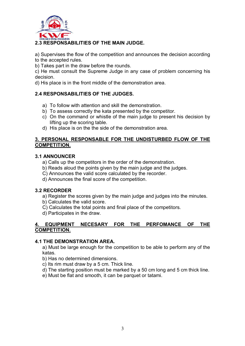

# **2.3 RESPONSABILITIES OF THE MAIN JUDGE.**

a) Supervises the flow of the competition and announces the decision according to the accepted rules.

b) Takes part in the draw before the rounds.

c) He must consult the Supreme Judge in any case of problem concerning his decision.

d) His place is in the front middle of the demonstration area.

# **2.4 RESPONSABILITIES OF THE JUDGES.**

- a) To follow with attention and skill the demonstration.
- b) To assess correctly the kata presented by the competitor.
- c) On the command or whistle of the main judge to present his decision by lifting up the scoring table.
- d) His place is on the the side of the demonstration area.

#### **3. PERSONAL RESPONSABLE FOR THE UNDISTURBED FLOW OF THE COMPETITION.**

#### **3.1 ANNOUNCER**

- a) Calls up the competitors in the order of the demonstration.
- b) Reads aloud the points given by the main judge and the judges.
- C) Announces the valid score calculated by the recorder.
- d) Announces the final score of the competition.

# **3.2 RECORDER**

- a) Register the scores given by the main judge and judges into the minutes.
- b) Calculates the valid score.
- C) Calculates the total points and final place of the competitors.
- d) Participates in the draw.

# **4. EQUIPMENT NECESARY FOR THE PERFOMANCE OF THE COMPETITION.**

#### **4.1 THE DEMONSTRATION AREA.**

a) Must be large enough for the competition to be able to perform any of the katas.

b) Has no determined dimensions.

c) Its rim must draw by a 5 cm. Thick line.

d) The starting position must be marked by a 50 cm long and 5 cm thick line.

e) Must be flat and smooth, it can be parquet or tatami.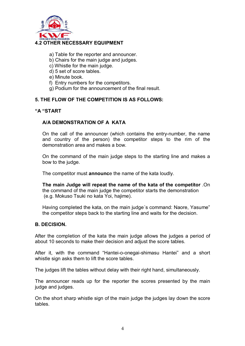

- a) Table for the reporter and announcer.
- b) Chairs for the main judge and judges.
- c) Whistle for the main judge.
- d) 5 set of score tables.
- e) Minute book.
- f) Entry numbers for the competitors.
- g) Podium for the announcement of the final result.

#### **5. THE FLOW OF THE COMPETITION IS AS FOLLOWS:**

#### **"A "START**

#### **A/A DEMONSTRATION OF A KATA**

On the call of the announcer (which contains the entry-number, the name and country of the person) the competitor steps to the rim of the demonstration area and makes a bow.

On the command of the main judge steps to the starting line and makes a bow to the judge.

The competitor must **announc**e the name of the kata loudly.

**The main Judge will repeat the name of the kata of the competitor** .On the command of the main judge the competitor starts the demonstration (e.g. Mokuso Tsuki no kata Yoi, hajime).

Having completed the kata, on the main judge´s command: Naore, Yasume" the competitor steps back to the starting line and waits for the decision.

#### **B. DECISION.**

After the completion of the kata the main judge allows the judges a period of about 10 seconds to make their decision and adjust the score tables.

After it, with the command "Hantei-o-onegai-shimasu Hantei" and a short whistle sign asks them to lift the score tables.

The judges lift the tables without delay with their right hand, simultaneously.

The announcer reads up for the reporter the scores presented by the main judge and judges.

On the short sharp whistle sign of the main judge the judges lay down the score tables.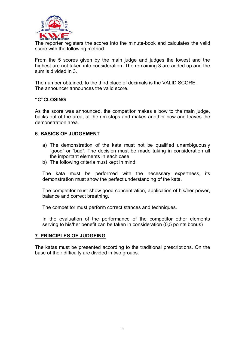

The reporter registers the scores into the minute-book and calculates the valid score with the following method:

From the 5 scores given by the main judge and judges the lowest and the highest are not taken into consideration. The remaining 3 are added up and the sum is divided in 3.

The number obtained, to the third place of decimals is the VALID SCORE. The announcer announces the valid score.

#### **"C"CLOSING**

As the score was announced, the competitor makes a bow to the main judge, backs out of the area, at the rim stops and makes another bow and leaves the demonstration area.

#### **6. BASICS OF JUDGEMENT**

- a) The demonstration of the kata must not be qualified unambiguously "good" or "bad". The decision must be made taking in consideration all the important elements in each case.
- b) The following criteria must kept in mind:

The kata must be performed with the necessary expertness, its demonstration must show the perfect understanding of the kata.

The competitor must show good concentration, application of his/her power, balance and correct breathing.

The competitor must perform correct stances and techniques.

In the evaluation of the performance of the competitor other elements serving to his/her benefit can be taken in consideration (0,5 points bonus)

#### **7. PRINCIPLES OF JUDGEING**

The katas must be presented according to the traditional prescriptions. On the base of their difficulty are divided in two groups.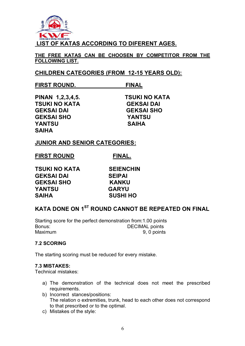

**THE FREE KATAS CAN BE CHOOSEN BY COMPETITOR FROM THE FOLLOWING LIST.** 

# **CHILDREN CATEGORIES (FROM 12-15 YEARS OLD):**

# **FIRST ROUND. FINAL**

**PINAN 1,2,3,4,5. TSUKI NO KATA TSUKI NO KATA GEKSAI DAI GEKSAI DAI GEKSAI SHO GEKSAI SHO YANTSU YANTSU SAIHA SAIHA** 

# **JUNIOR AND SENIOR CATEGORIES:**

| <b>FIRST ROUND</b> | FINAL. |
|--------------------|--------|
|                    |        |

**TSUKI NO KATA SEIENCHIN GEKSAI DAI SEIPAI GEKSAI SHO KANKU YANTSU GARYU SAIHA SUSHI HO** 

# **KATA DONE ON 1ST ROUND CANNOT BE REPEATED ON FINAL**

Starting score for the perfect demonstration from:1.00 points Bonus: Bonus: DECIMAL points Maximum 9, 0 points

# **7.2 SCORING**

The starting scoring must be reduced for every mistake.

#### **7.3 MISTAKES:**

Technical mistakes:

- a) The demonstration of the technical does not meet the prescribed requirements.
- b) Incorrect stances/positions: The relation o extremities, trunk, head to each other does not correspond to that prescribed or to the optimal.
- c) Mistakes of the style: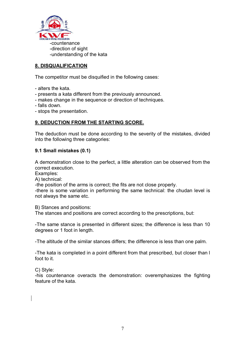

# **8. DISQUALIFICATION**

The competitor must be disquified in the following cases:

- alters the kata.
- presents a kata different from the previously announced.
- makes change in the sequence or direction of techniques.
- falls down.
- stops the presentation.

# **9. DEDUCTION FROM THE STARTING SCORE.**

The deduction must be done according to the severity of the mistakes, divided into the following three categories:

#### **9.1 Small mistakes (0.1)**

A demonstration close to the perfect, a little alteration can be observed from the correct execution.

Examples:

A) technical:

-the position of the arms is correct; the fits are not close properly.

-there is some variation in performing the same technical: the chudan level is not always the same etc.

B) Stances and positions:

The stances and positions are correct according to the prescriptions, but:

-The same stance is presented in different sizes; the difference is less than 10 degrees or 1 foot in length.

-The altitude of the similar stances differs; the difference is less than one palm.

-The kata is completed in a point different from that prescribed, but closer than l foot to it.

C) Style:

-his countenance overacts the demonstration: overemphasizes the fighting feature of the kata.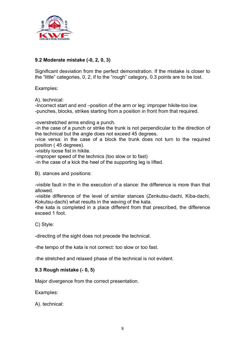

# **9.2 Moderate mistake (-0, 2, 0, 3)**

Significant desviation from the perfect demonstration. If the mistake is closer to the "little" categories, 0, 2, if to the "rough" category, 0.3 points are to be lost.

Examples:

A). technical:

-Incorrect start and end –position of the arm or leg: improper hikite-too low. -punches, blocks, strikes starting from a position in front from that required.

-overstretched arms ending a punch.

-in the case of a punch or strike the trunk is not perpendicular to the direction of the technical but the angle does not exceed 45 degrees.

-vice versa: in the case of a block the trunk does not turn to the required position ( 45 degrees).

-visibly loose fist in hikite.

-improper speed of the technics (too slow or to fast)

-in the case of a kick the heel of the supporting leg is lifted.

B). stances and positions:

-visible fault in the in the execution of a stance: the difference is more than that allowed.

-visible difference of the level of similar stances (Zenkutsu-dachi, Kiba-dachi, Kokutsu-dachi) what results in the waving of the kata.

-the kata is completed in a place different from that prescribed, the difference exceed 1 foot.

C) Style:

-directing of the sight does not precede the technical.

-the tempo of the kata is not correct: too slow or too fast.

-the stretched and relaxed phase of the technical is not evident.

# **9.3 Rough mistake (- 0, 5)**

Major divergence from the correct presentation.

Examples:

A). technical: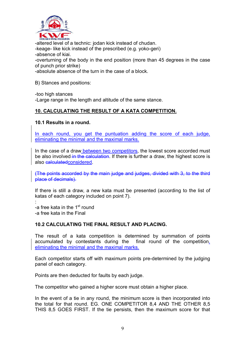

-altered level of a technic: jodan kick instead of chudan. -keage- like kick instead of the prescribed (e.g. yoko-geri) -absence of kiai. -overturning of the body in the end position (more than 45 degrees in the case of punch prior strike) -absolute absence of the turn in the case of a block.

B) Stances and positions:

-too high stances -Large range in the length and altitude of the same stance.

# **10. CALCULATING THE RESULT OF A KATA COMPETITION.**

#### **10.1 Results in a round.**

In each round, you get the puntuation adding the score of each judge, eliminating the minimal and the maximal marks.

In the case of a draw between two competitors, the lowest score accorded must be also involved in the calculation. If there is further a draw, the highest score is also calculatedconsidered.

(The points accorded by the main judge and judges, divided with 3, to the third place of decimals).

If there is still a draw, a new kata must be presented (according to the list of katas of each category included on point 7).

: -a free kata in the 1<sup>st</sup> round -a free kata in the Final

# **10.2 CALCULATING THE FINAL RESULT AND PLACING.**

The result of a kata competition is determined by summation of points accumulated by contestants during the final round of the competition, eliminating the minimal and the maximal marks.

Each competitor starts off with maximum points pre-determined by the judging panel of each category.

Points are then deducted for faults by each judge.

The competitor who gained a higher score must obtain a higher place.

In the event of a tie in any round, the minimum score is then incorporated into the total for that round. EG. ONE COMPETITOR 8,4 AND THE OTHER 8,5 THIS 8,5 GOES FIRST. If the tie persists, then the maximum score for that